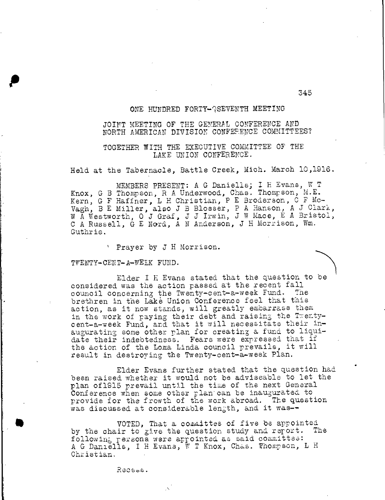# ONE HUNDRED FORTY-QSEVENTH MEETING

## JOINT MEETING OF THE GENERAL CONFERENCE AND NORTH AMERICAN DIVISION CONFERENCE COMMITTEES?

## TOGETHER WITH THE EXECUTIVE COMMITTEE OF THE LAKE UNION CONFERENCE.

Held at the Tabernacle, Battle Creek, Mich. March 10,1916.

MEMBERS PRESENT: A G Daniells; I H Evans, W T Knox, G B Thompson, R A Underwood, Chas. Thompson, M.E. Kern, G F Haffner, L H Christian, P E Broderson, C F Mc-Vagh, B E Miller, also J B Blosser, P A Hanson, A J Clark, W A Westworth, O J Graf, J J Irwin, J W Mace, E A Bristol, C A Russell, G E Nord, A N Anderson, J H Morrison, Wm. Guthrie.

Prayer by J H Morrison.

TWENTY-CENT-A-WEEK FUND.

p

Elder I H Evans stated that the question to be considered was the action passed at the recent fall council concerning the Twenty-cent-a-week Fund. The brethren in the Lake Union Conference feel that this action, as it now stands, will greatly embarrass them in the work of paying their debt and raising the Twentycent-a-week Fund, and that it will necessitate their inaugurating sone other plan for creating a fund to liquidate their indebtedness. Fears were expressed that if the action of the Loma Linda council prevails, it will result in destroying the Twenty-cent-a-week Plan.

Elder Evans further stated that the question had bean raised whether it would not be adviseable to let the plan of1915 prevail until the time of the next General Conference when some other plan'can be inaugurated to provide for the frowth of the work abroad. The question was discussed at considerable length, and it was--

VOTED, That a committee of five be appointed<br>ir to rive the question study and report. The by the chair to give the question study and report. following persons were appointed as said committee: A G Daniells, I H Evans, W T Knox, Chas. Thompson, L H Christian.

345

Recess.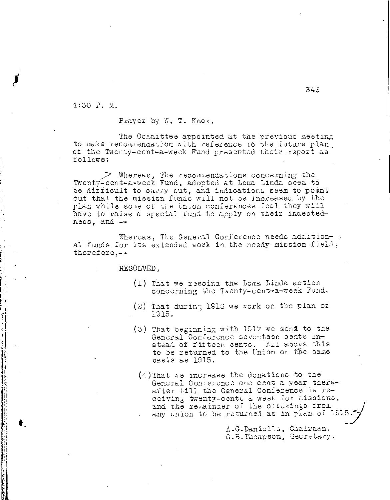4:30 P. M.

Prayer by W. T. Knox,

The Committee appointed at the previous meeting to make recommendation with reference to the future plan of the Twenty-cent-a-week Fund presented their report as follows:

 $>$  Whereas, The recommendations concerning the Twenty-cent-a-week Fund, adopted at Loma Linda seem to be difficult to carry out, and indications seem to point out that the mission funds will not be increased by the plan while some of the Union conferences feel they will have to raise a special fund to apply on their indebtedness, and --

Whereas, The General Conference needs addition-. al funds for its extended work in the needy mission field, therefore,--

RESOLVED,

- (1) That we rescind the Loma Linda action concerning the Twenty-cent-a-week Fund.
- (2) That during 1916 we work on the plan of 1915.
- (3) That beginning with 1917 we send to the General Conference seventeen cents instead of fifteen cents. All above this to be returned to the Union on the same basis as 1915.
- (4)That we increase the donations to the General Conference one cent a year thereafter till the General Conference is receiving twenty-cents a weak for missions, and the remainder of the offerings from any union to be returned as in plan of 191

A.G.Daniells, Chairman. G.B.Thompson, Secretary.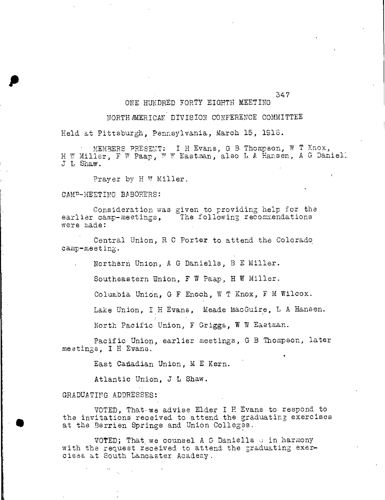## ONE HUNDRED FORTY EIGHTH MEETING

### NORTHAMERICAN DIVISION CONFERENCE COMMITTEE

347

Held at Pittsburgh, Pennsylvania, March 15, 1918.

• MEMBERS PRESENT: I H Evans, G B Thompson, W T Knox, H W Miller, F W Paap, W W Eastman, also L A Hansen, A G Daniell L Shaw.

Prayer by H W Miller.

#### CAMP-MEETING BABORERS:

p

Consideration was given to providing help for the earlier camp-meetings, The following recommendations were made:

Central Union, R C Porter to attend the Colorado camp-meeting.

Northern Union, A G Daniells, B E Miller.

Southeastern Union, F W Paap, H W Miller.

Columbia Union, G F Enoch, W T Knox, F M Wilcox.

Lake Union, I H Evans, Meade MacGuire, L A Hansen.

North Pacific Union, F Griggs, W W Eastman.

Pacific Union, earlier meetings, G B Thompson, later meetings, I H Evans.

East Canadian Union, M E Kern.

Atlantic Union, J L Shaw.

GRADUATING ADDRESSES:

VOTED, That-we advise Elder I H Evans to respond to the invitations received to attend the graduating exercises at the Berrien Springs and Union Colleges.

VOTED; That we counsel A G Daniells  $\circ$  in harmony with the request received to attend the graduating exercises at South Lancaster Academy.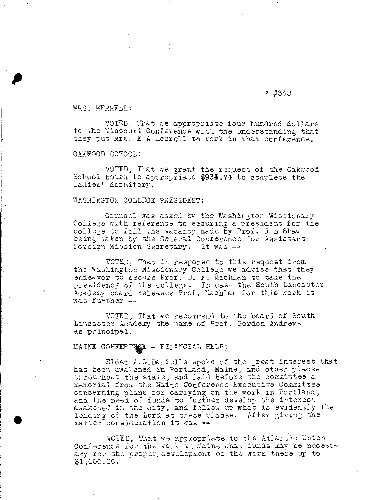### $74348$

MRS. MERRELL:

VOTED, That we appropriate four hundred dollars to the Missouri Conference with the understanding that they put Mrs. E A Merrell to work in that conference.

OAKWOOD SCHOOL:

VOTED, That we grant the request of the Oakwood School board to appropriate \$934.74 to complete the ladies' dormitory.

#### WASHINGTON COLLEGE PRESIDENT:

Counsel was asked by the Washington Missionary College with reference to securing a president for the college to fill the vacancy made by Prof. J L Shaw being taken by the General Conference for Assistant. Foreign Mission Secretary. It was --

VOTED, That in response to this request from the Washington Missionary College we advise that they endeavor to secure Prof. B. F. Machlan to take the presidency of the college. In case the South Lancaster Academy board releases Prof. Machlan for this work it was further --

VOTED, That we recommend to the board of South Lancaster Academy the name of Prof. Gordon Andrews as. principal.

## MAINE CONFERENCE - FINANCIAL HELP;

Elder A.G.Daniells spoke of the great interest that has been awakened in Portland, Maine, and other places throughout the state, and laid before the committee a memorial from the Maine Conference Executive Committee concerning plans for carrying on the work in Portland, and the need of funds to further develop the interest awakened in the city, and follow up what is evidently the leading of the Lord at these places. After giving the matter consideration it was  $\rightarrow$ 

VOTED, That we appropriate to the Atlantic Union Conference for the work in Maine what funds may be necessary fox the proper\_ development of the work there up to \$1,CCO.Ce.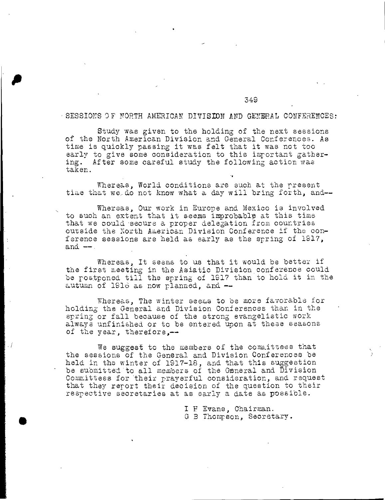### SESSIONS OF NORTH AMERICAN DIVISION AND GENERAL CONFERENCES:

349

Study was given to the holding of the next sessions of the North American Division and General Conferences. As time is quickly passing it was felt that it was not too early to give some consideration to this important gathering. After some careful study the following action was taken.

Whereas, World conditions are such at the present time that we do not know what a day will bring forth, and--

Whereas, Our work in Europe and Mexico is involved to such an extent that it seems improbable at this time that we could secure a proper delegation from countries outside the North American Division Conference if the conference sessions are held as early as the spring of 1917, and  $-$ .

Whereas, It seems to us that it would be better if the first meeting in the Asiatic Division,conference could be postponed till the spring of 191? than to hold it in the autumn of 1916 as now planned, and  $-$ 

Whereas, The winter seems to be more favorable for holding the General and Division Conferences than in the spring or fall because of the strong evangelistic work always unfinished or to be entered upon at these seasons of the year, therefore,--

We suggest to the members of the committees that the sessions of the General and Division Conferences be held in the winter of 1917-18, and that this suggestion be submitted to all members of the General and Division Committees for their prayerful consideration, and request that they report their decision of the question to their respective secretaries at as early a date as possible.

> I F Evans, Chairman. G B Thompson, Secretary.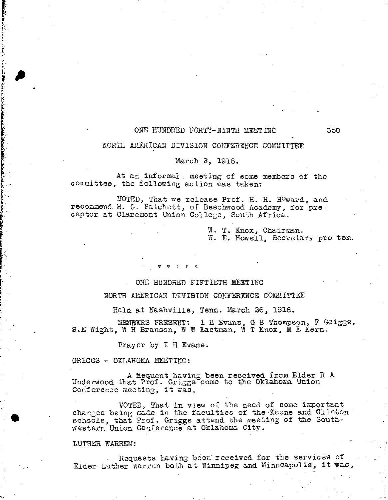## ONE HUNDRED FORTY-NINTH MEETING 350

### NORTH AMERICAN DIVISION CONFERENCE COMMITTEE

### March 2, 1916.

At an informal. meeting of some members of the committee, the following action was\_taken:

VOTED, That we release Prof. H. H. Howard, and recommend H. G. Patchett, of Beechwood Academy, for preceptor at Claremont Union College, South Africa.

> W. T. Knox, Chairman. W. E. Howell, Secretary pro tem.

### ONE HUNDRED FIFTIETH MEETING

### NORTH AMERICAN DIVISION CONFERENCE COMMITTEE

Held at Nashville, Tenn. March 26, 1916.

LIMBERS PRESENT: I H Evans, G B Thompson, F Griggs, S.E Wight, W H Branson, W W Eastman, W T Knox, M E Kern.

Prayer by I H Evans.

GRIGGS - OKLAHOMA MEETING:

A iequent having been received from Elder R A Underwood that Prof. Griggs come to the Oklahoma Union Conference meeting, it was,

VOTED, That in view of the need of some important changes being made in the faculties of the Keene and Clinton schools, that Prof. Griggs attend the meeting of the Southwestern Union Conference at Oklahoma City.

#### LUTHER WARREN:

Requests having been received for the services of Elder Luther Warren both at Winnipeg and Minneapolis, it was,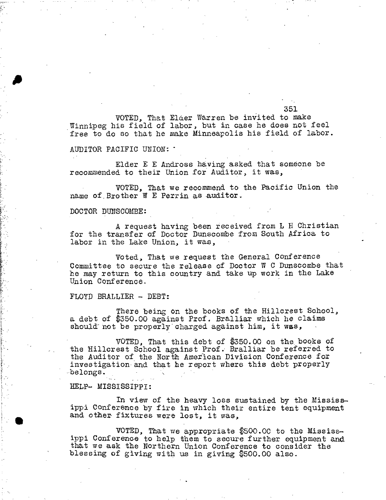VOTED, That Elder Warren be invited to make Winnipeg his field of labor, but in case he does not feel free to do so that he make Minneapolis his field of labor.

351

AUDITOR PACIFIC UNION: •

Elder E E Andross having asked that someone be recommended to their Union for Auditor, it was,

VOTED, That we recommend to the Pacific Union the name of. Brother W E Perrin as auditor.

DOCTOR DUNSCOMBE:

A request having been received from L H Christian for the transfer of Doctor Dunscombe from South Africa to labor in the Lake Union, it was,

Voted, That we request the General Conference Committee to secure the release of Doctor W C Dunscombe that he may return to this country and take up work in the Lake Union Conference.

FLOYD BRALLIER - DEBT:

There being on the books of the Hillcrest School, a debt of \$350.00 against Prof. Bralliar which he claims should not be properly charged against him, it was,

VOTED, That this debt of \$350.00 on the books of the Hillcrest School against Prof. Bralliar be referred to the Auditor of the North American Division Conference for investigation and that he report where this debt properly belongs.

HELP- MISSISSIPPI:

 $\mathbf{r} = \mathbf{r} \times \mathbf{r}$  . We set

In view of the heavy loss sustained by the Mississippi Conference by fire in which their entire tent equipment and other fixtures were lost, it was,

VOTED, That we appropriate \$500.00 to the Mississippi Conference to help them to secure further equipment and that we ask the Northern Union Conference to consider the blessing of giving with us in giving \$500.00 also.